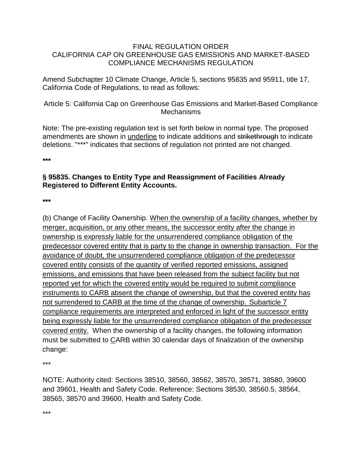## FINAL REGULATION ORDER CALIFORNIA CAP ON GREENHOUSE GAS EMISSIONS AND MARKET-BASED COMPLIANCE MECHANISMS REGULATION

Amend Subchapter 10 Climate Change, Article 5, sections 95835 and 95911, title 17, California Code of Regulations, to read as follows:

Article 5: California Cap on Greenhouse Gas Emissions and Market-Based Compliance **Mechanisms** 

Note: The pre-existing regulation text is set forth below in normal type. The proposed amendments are shown in underline to indicate additions and strikethrough to indicate deletions. "\*\*\*" indicates that sections of regulation not printed are not changed.

**\*\*\***

## **§ 95835. Changes to Entity Type and Reassignment of Facilities Already Registered to Different Entity Accounts.**

**\*\*\***

(b) Change of Facility Ownership. When the ownership of a facility changes, whether by merger, acquisition, or any other means, the successor entity after the change in ownership is expressly liable for the unsurrendered compliance obligation of the predecessor covered entity that is party to the change in ownership transaction. For the avoidance of doubt, the unsurrendered compliance obligation of the predecessor covered entity consists of the quantity of verified reported emissions, assigned emissions, and emissions that have been released from the subject facility but not reported yet for which the covered entity would be required to submit compliance instruments to CARB absent the change of ownership, but that the covered entity has not surrendered to CARB at the time of the change of ownership. Subarticle 7 compliance requirements are interpreted and enforced in light of the successor entity being expressly liable for the unsurrendered compliance obligation of the predecessor covered entity. When the ownership of a facility changes, the following information must be submitted to CARB within 30 calendar days of finalization of the ownership change:

\*\*\*

NOTE: Authority cited: Sections 38510, 38560, 38562, 38570, 38571, 38580, 39600 and 39601, Health and Safety Code. Reference: Sections 38530, 38560.5, 38564, 38565, 38570 and 39600, Health and Safety Code.

\*\*\*